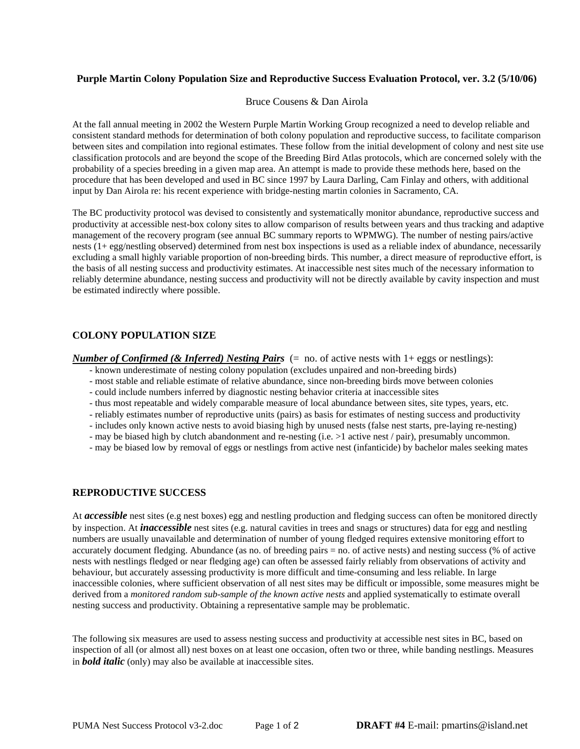## **Purple Martin Colony Population Size and Reproductive Success Evaluation Protocol, ver. 3.2 (5/10/06)**

Bruce Cousens & Dan Airola

At the fall annual meeting in 2002 the Western Purple Martin Working Group recognized a need to develop reliable and consistent standard methods for determination of both colony population and reproductive success, to facilitate comparison between sites and compilation into regional estimates. These follow from the initial development of colony and nest site use classification protocols and are beyond the scope of the Breeding Bird Atlas protocols, which are concerned solely with the probability of a species breeding in a given map area. An attempt is made to provide these methods here, based on the procedure that has been developed and used in BC since 1997 by Laura Darling, Cam Finlay and others, with additional input by Dan Airola re: his recent experience with bridge-nesting martin colonies in Sacramento, CA.

The BC productivity protocol was devised to consistently and systematically monitor abundance, reproductive success and productivity at accessible nest-box colony sites to allow comparison of results between years and thus tracking and adaptive management of the recovery program (see annual BC summary reports to WPMWG). The number of nesting pairs/active nests (1+ egg/nestling observed) determined from nest box inspections is used as a reliable index of abundance, necessarily excluding a small highly variable proportion of non-breeding birds. This number, a direct measure of reproductive effort, is the basis of all nesting success and productivity estimates. At inaccessible nest sites much of the necessary information to reliably determine abundance, nesting success and productivity will not be directly available by cavity inspection and must be estimated indirectly where possible.

# **COLONY POPULATION SIZE**

*Number of Confirmed (& Inferred) Nesting Pairs* (= no. of active nests with 1+ eggs or nestlings):

- known underestimate of nesting colony population (excludes unpaired and non-breeding birds)
- most stable and reliable estimate of relative abundance, since non-breeding birds move between colonies
- could include numbers inferred by diagnostic nesting behavior criteria at inaccessible sites
- thus most repeatable and widely comparable measure of local abundance between sites, site types, years, etc.
- reliably estimates number of reproductive units (pairs) as basis for estimates of nesting success and productivity
- includes only known active nests to avoid biasing high by unused nests (false nest starts, pre-laying re-nesting)
- may be biased high by clutch abandonment and re-nesting (i.e. >1 active nest / pair), presumably uncommon.
- may be biased low by removal of eggs or nestlings from active nest (infanticide) by bachelor males seeking mates

## **REPRODUCTIVE SUCCESS**

At *accessible* nest sites (e.g nest boxes) egg and nestling production and fledging success can often be monitored directly by inspection. At *inaccessible* nest sites (e.g. natural cavities in trees and snags or structures) data for egg and nestling numbers are usually unavailable and determination of number of young fledged requires extensive monitoring effort to accurately document fledging. Abundance (as no. of breeding pairs = no. of active nests) and nesting success (% of active nests with nestlings fledged or near fledging age) can often be assessed fairly reliably from observations of activity and behaviour, but accurately assessing productivity is more difficult and time-consuming and less reliable. In large inaccessible colonies, where sufficient observation of all nest sites may be difficult or impossible, some measures might be derived from a *monitored random sub-sample of the known active nests* and applied systematically to estimate overall nesting success and productivity. Obtaining a representative sample may be problematic.

The following six measures are used to assess nesting success and productivity at accessible nest sites in BC, based on inspection of all (or almost all) nest boxes on at least one occasion, often two or three, while banding nestlings. Measures in *bold italic* (only) may also be available at inaccessible sites.